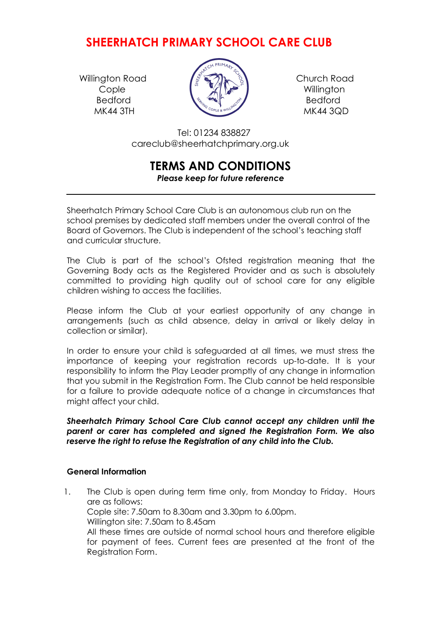## **SHEERHATCH PRIMARY SCHOOL CARE CLUB**

Willington Road  $\left\{\begin{matrix} \begin{matrix} \begin{matrix} \begin{matrix} \alpha \\ \alpha \end{matrix} \end{matrix} & \begin{matrix} \begin{matrix} \beta \\ \alpha \end{matrix} \end{matrix} \end{matrix}\right\}$  Church Road Bedford **Bedford**  $\left(\begin{array}{cc} \frac{1}{2} & \frac{1}{2} \\ \frac{1}{2} & \frac{1}{2} \end{array}\right)$  Bedford



 Tel: 01234 838827 careclub@sheerhatchprimary.org.uk

# **TERMS AND CONDITIONS**

## *Please keep for future reference*

 Sheerhatch Primary School Care Club is an autonomous club run on the school premises by dedicated staff members under the overall control of the Board of Governors. The Club is independent of the school's teaching staff and curricular structure.

The Club is part of the school's Ofsted registration meaning that the Governing Body acts as the Registered Provider and as such is absolutely committed to providing high quality out of school care for any eligible children wishing to access the facilities.

Please inform the Club at your earliest opportunity of any change in arrangements (such as child absence, delay in arrival or likely delay in collection or similar).

In order to ensure your child is safeguarded at all times, we must stress the importance of keeping your registration records up-to-date. It is your responsibility to inform the Play Leader promptly of any change in information that you submit in the Registration Form. The Club cannot be held responsible for a failure to provide adequate notice of a change in circumstances that might affect your child.

*Sheerhatch Primary School Care Club cannot accept any children until the parent or carer has completed and signed the Registration Form. We also reserve the right to refuse the Registration of any child into the Club.*

## **General Information**

1. The Club is open during term time only, from Monday to Friday. Hours are as follows: Cople site: 7.50am to 8.30am and 3.30pm to 6.00pm. Willington site: 7.50am to 8.45am All these times are outside of normal school hours and therefore eligible for payment of fees. Current fees are presented at the front of the Registration Form.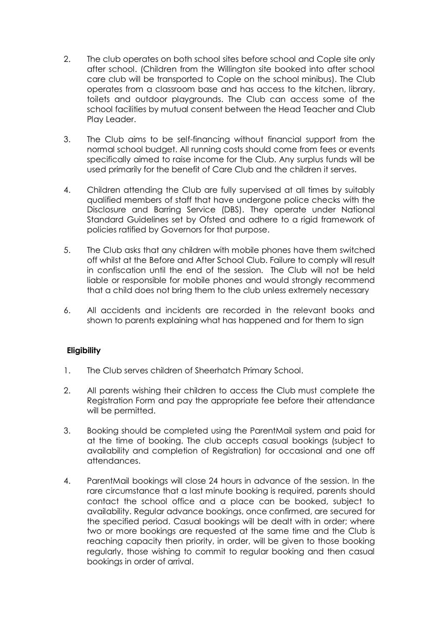- 2. The club operates on both school sites before school and Cople site only after school. (Children from the Willington site booked into after school care club will be transported to Cople on the school minibus). The Club operates from a classroom base and has access to the kitchen, library, toilets and outdoor playgrounds. The Club can access some of the school facilities by mutual consent between the Head Teacher and Club Play Leader.
- 3. The Club aims to be self-financing without financial support from the normal school budget. All running costs should come from fees or events specifically aimed to raise income for the Club. Any surplus funds will be used primarily for the benefit of Care Club and the children it serves.
- 4. Children attending the Club are fully supervised at all times by suitably qualified members of staff that have undergone police checks with the Disclosure and Barring Service (DBS). They operate under National Standard Guidelines set by Ofsted and adhere to a rigid framework of policies ratified by Governors for that purpose.
- 5. The Club asks that any children with mobile phones have them switched off whilst at the Before and After School Club. Failure to comply will result in confiscation until the end of the session. The Club will not be held liable or responsible for mobile phones and would strongly recommend that a child does not bring them to the club unless extremely necessary
- 6. All accidents and incidents are recorded in the relevant books and shown to parents explaining what has happened and for them to sign

## **Eligibility**

- 1. The Club serves children of Sheerhatch Primary School.
- 2. All parents wishing their children to access the Club must complete the Registration Form and pay the appropriate fee before their attendance will be permitted.
- 3. Booking should be completed using the ParentMail system and paid for at the time of booking. The club accepts casual bookings (subject to availability and completion of Registration) for occasional and one off attendances.
- 4. ParentMail bookings will close 24 hours in advance of the session. In the rare circumstance that a last minute booking is required, parents should contact the school office and a place can be booked, subject to availability. Regular advance bookings, once confirmed, are secured for the specified period. Casual bookings will be dealt with in order; where two or more bookings are requested at the same time and the Club is reaching capacity then priority, in order, will be given to those booking regularly, those wishing to commit to regular booking and then casual bookings in order of arrival.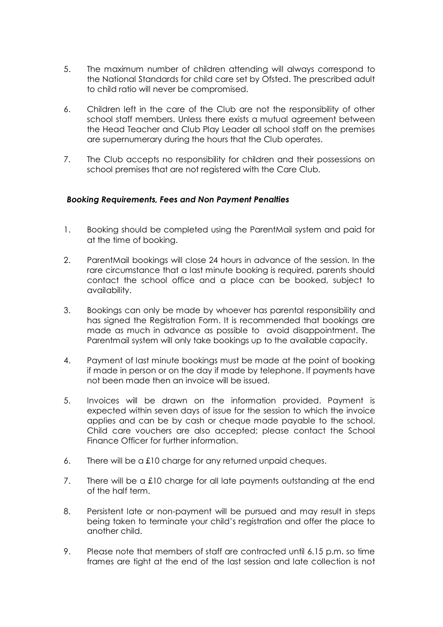- 5. The maximum number of children attending will always correspond to the National Standards for child care set by Ofsted. The prescribed adult to child ratio will never be compromised.
- 6. Children left in the care of the Club are not the responsibility of other school staff members. Unless there exists a mutual agreement between the Head Teacher and Club Play Leader all school staff on the premises are supernumerary during the hours that the Club operates.
- 7. The Club accepts no responsibility for children and their possessions on school premises that are not registered with the Care Club.

#### *Booking Requirements, Fees and Non Payment Penalties*

- 1. Booking should be completed using the ParentMail system and paid for at the time of booking.
- 2. ParentMail bookings will close 24 hours in advance of the session. In the rare circumstance that a last minute booking is required, parents should contact the school office and a place can be booked, subject to availability.
- 3. Bookings can only be made by whoever has parental responsibility and has signed the Registration Form. It is recommended that bookings are made as much in advance as possible to avoid disappointment. The Parentmail system will only take bookings up to the available capacity.
- 4. Payment of last minute bookings must be made at the point of booking if made in person or on the day if made by telephone. If payments have not been made then an invoice will be issued.
- 5. Invoices will be drawn on the information provided. Payment is expected within seven days of issue for the session to which the invoice applies and can be by cash or cheque made payable to the school. Child care vouchers are also accepted; please contact the School Finance Officer for further information.
- 6. There will be a £10 charge for any returned unpaid cheques.
- 7. There will be a £10 charge for all late payments outstanding at the end of the half term.
- 8. Persistent late or non-payment will be pursued and may result in steps being taken to terminate your child's registration and offer the place to another child.
- 9. Please note that members of staff are contracted until 6.15 p.m. so time frames are tight at the end of the last session and late collection is not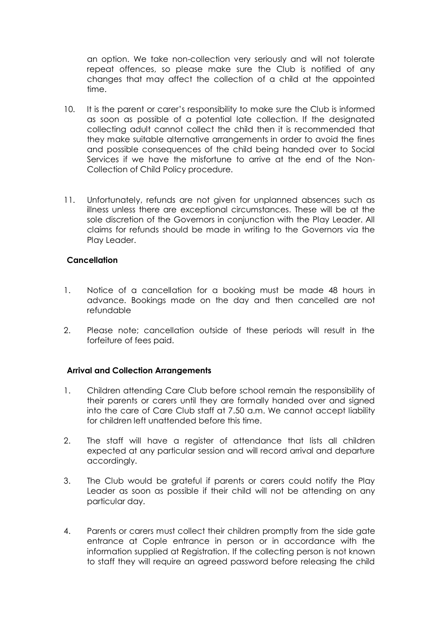an option. We take non-collection very seriously and will not tolerate repeat offences, so please make sure the Club is notified of any changes that may affect the collection of a child at the appointed time.

- 10. It is the parent or carer's responsibility to make sure the Club is informed as soon as possible of a potential late collection. If the designated collecting adult cannot collect the child then it is recommended that they make suitable alternative arrangements in order to avoid the fines and possible consequences of the child being handed over to Social Services if we have the misfortune to arrive at the end of the Non-Collection of Child Policy procedure.
- 11. Unfortunately, refunds are not given for unplanned absences such as illness unless there are exceptional circumstances. These will be at the sole discretion of the Governors in conjunction with the Play Leader. All claims for refunds should be made in writing to the Governors via the Play Leader.

#### **Cancellation**

- 1. Notice of a cancellation for a booking must be made 48 hours in advance. Bookings made on the day and then cancelled are not refundable
- 2. Please note; cancellation outside of these periods will result in the forfeiture of fees paid.

#### **Arrival and Collection Arrangements**

- 1. Children attending Care Club before school remain the responsibility of their parents or carers until they are formally handed over and signed into the care of Care Club staff at 7.50 a.m. We cannot accept liability for children left unattended before this time.
- 2. The staff will have a register of attendance that lists all children expected at any particular session and will record arrival and departure accordingly.
- 3. The Club would be grateful if parents or carers could notify the Play Leader as soon as possible if their child will not be attending on any particular day.
- 4. Parents or carers must collect their children promptly from the side gate entrance at Cople entrance in person or in accordance with the information supplied at Registration. If the collecting person is not known to staff they will require an agreed password before releasing the child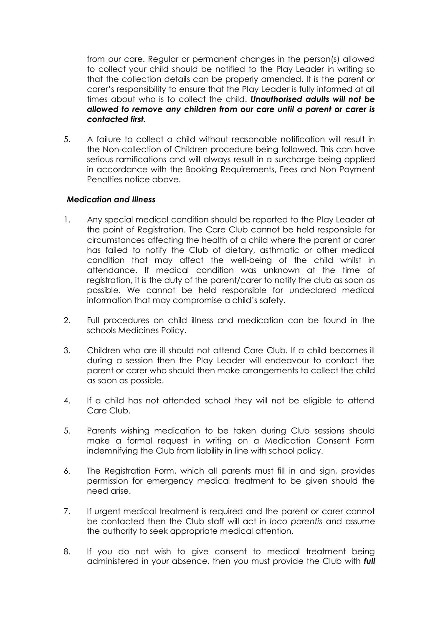from our care. Regular or permanent changes in the person(s) allowed to collect your child should be notified to the Play Leader in writing so that the collection details can be properly amended. It is the parent or carer's responsibility to ensure that the Play Leader is fully informed at all times about who is to collect the child. *Unauthorised adults will not be allowed to remove any children from our care until a parent or carer is contacted first.*

5. A failure to collect a child without reasonable notification will result in the Non-collection of Children procedure being followed. This can have serious ramifications and will always result in a surcharge being applied in accordance with the Booking Requirements, Fees and Non Payment Penalties notice above.

#### *Medication and Illness*

- 1. Any special medical condition should be reported to the Play Leader at the point of Registration. The Care Club cannot be held responsible for circumstances affecting the health of a child where the parent or carer has failed to notify the Club of dietary, asthmatic or other medical condition that may affect the well-being of the child whilst in attendance. If medical condition was unknown at the time of registration, it is the duty of the parent/carer to notify the club as soon as possible. We cannot be held responsible for undeclared medical information that may compromise a child's safety.
- 2. Full procedures on child illness and medication can be found in the schools Medicines Policy.
- 3. Children who are ill should not attend Care Club. If a child becomes ill during a session then the Play Leader will endeavour to contact the parent or carer who should then make arrangements to collect the child as soon as possible.
- 4. If a child has not attended school they will not be eligible to attend Care Club.
- 5. Parents wishing medication to be taken during Club sessions should make a formal request in writing on a Medication Consent Form indemnifying the Club from liability in line with school policy.
- 6. The Registration Form, which all parents must fill in and sign, provides permission for emergency medical treatment to be given should the need arise.
- 7. If urgent medical treatment is required and the parent or carer cannot be contacted then the Club staff will act in *loco parentis* and assume the authority to seek appropriate medical attention.
- 8. If you do not wish to give consent to medical treatment being administered in your absence, then you must provide the Club with *full*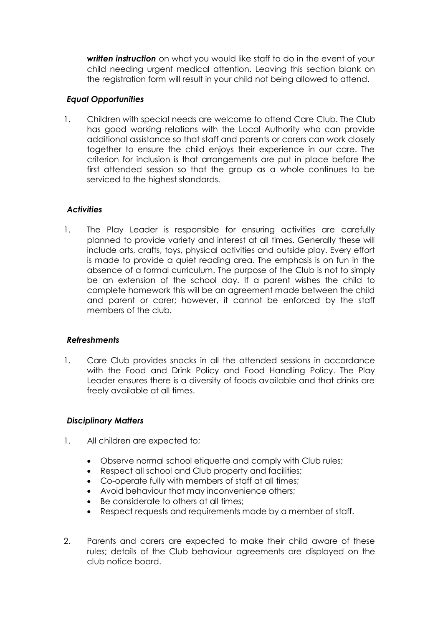*written instruction* on what you would like staff to do in the event of your child needing urgent medical attention. Leaving this section blank on the registration form will result in your child not being allowed to attend.

#### *Equal Opportunities*

1. Children with special needs are welcome to attend Care Club. The Club has good working relations with the Local Authority who can provide additional assistance so that staff and parents or carers can work closely together to ensure the child enjoys their experience in our care. The criterion for inclusion is that arrangements are put in place before the first attended session so that the group as a whole continues to be serviced to the highest standards.

## *Activities*

1. The Play Leader is responsible for ensuring activities are carefully planned to provide variety and interest at all times. Generally these will include arts, crafts, toys, physical activities and outside play. Every effort is made to provide a quiet reading area. The emphasis is on fun in the absence of a formal curriculum. The purpose of the Club is not to simply be an extension of the school day. If a parent wishes the child to complete homework this will be an agreement made between the child and parent or carer; however, it cannot be enforced by the staff members of the club.

#### *Refreshments*

1. Care Club provides snacks in all the attended sessions in accordance with the Food and Drink Policy and Food Handling Policy. The Play Leader ensures there is a diversity of foods available and that drinks are freely available at all times.

#### *Disciplinary Matters*

- 1. All children are expected to;
	- Observe normal school etiquette and comply with Club rules;
	- Respect all school and Club property and facilities;
	- Co-operate fully with members of staff at all times;
	- Avoid behaviour that may inconvenience others;
	- Be considerate to others at all times;
	- Respect requests and requirements made by a member of staff.
- 2. Parents and carers are expected to make their child aware of these rules; details of the Club behaviour agreements are displayed on the club notice board.